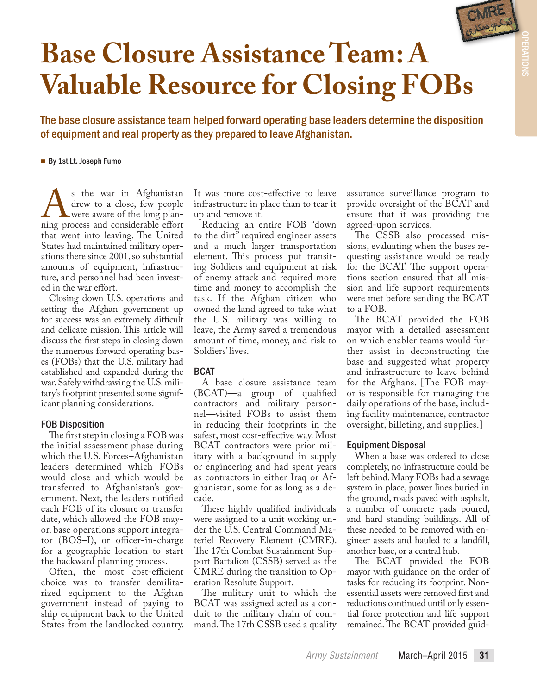

OPERATIONS

# **Base Closure Assistance Team: A Valuable Resource for Closing FOBs**

The base closure assistance team helped forward operating base leaders determine the disposition of equipment and real property as they prepared to leave Afghanistan.

#### By 1st Lt. Joseph Fumo

As the war in Afghanistan<br>drew to a close, few people<br>ming process and considerable effort drew to a close, few people were aware of the long planthat went into leaving. The United States had maintained military operations there since 2001, so substantial amounts of equipment, infrastructure, and personnel had been invested in the war effort.

Closing down U.S. operations and setting the Afghan government up for success was an extremely difficult and delicate mission. This article will discuss the first steps in closing down the numerous forward operating bases (FOBs) that the U.S. military had established and expanded during the war. Safely withdrawing the U.S. military's footprint presented some significant planning considerations.

## FOB Disposition

The first step in closing a FOB was the initial assessment phase during which the U.S. Forces–Afghanistan leaders determined which FOBs would close and which would be transferred to Afghanistan's government. Next, the leaders notified each FOB of its closure or transfer date, which allowed the FOB mayor, base operations support integrator (BOS–I), or officer-in-charge for a geographic location to start the backward planning process.

Often, the most cost-efficient choice was to transfer demilitarized equipment to the Afghan government instead of paying to ship equipment back to the United States from the landlocked country. It was more cost-effective to leave infrastructure in place than to tear it up and remove it.

Reducing an entire FOB "down to the dirt" required engineer assets and a much larger transportation element. This process put transiting Soldiers and equipment at risk of enemy attack and required more time and money to accomplish the task. If the Afghan citizen who owned the land agreed to take what the U.S. military was willing to leave, the Army saved a tremendous amount of time, money, and risk to Soldiers' lives.

## **BCAT**

A base closure assistance team (BCAT)—a group of qualified contractors and military personnel—visited FOBs to assist them in reducing their footprints in the safest, most cost-effective way. Most BCAT contractors were prior military with a background in supply or engineering and had spent years as contractors in either Iraq or Afghanistan, some for as long as a decade.

These highly qualified individuals were assigned to a unit working under the U.S. Central Command Materiel Recovery Element (CMRE). The 17th Combat Sustainment Support Battalion (CSSB) served as the CMRE during the transition to Operation Resolute Support.

The military unit to which the BCAT was assigned acted as a conduit to the military chain of command. The 17th CSSB used a quality

assurance surveillance program to provide oversight of the BCAT and ensure that it was providing the agreed-upon services.

The CSSB also processed missions, evaluating when the bases requesting assistance would be ready for the BCAT. The support operations section ensured that all mission and life support requirements were met before sending the BCAT to a FOB.

The BCAT provided the FOB mayor with a detailed assessment on which enabler teams would further assist in deconstructing the base and suggested what property and infrastructure to leave behind for the Afghans. [The FOB mayor is responsible for managing the daily operations of the base, including facility maintenance, contractor oversight, billeting, and supplies.]

## Equipment Disposal

When a base was ordered to close completely, no infrastructure could be left behind. Many FOBs had a sewage system in place, power lines buried in the ground, roads paved with asphalt, a number of concrete pads poured, and hard standing buildings. All of these needed to be removed with engineer assets and hauled to a landfill, another base, or a central hub.

The BCAT provided the FOB mayor with guidance on the order of tasks for reducing its footprint. Nonessential assets were removed first and reductions continued until only essential force protection and life support remained. The BCAT provided guid-